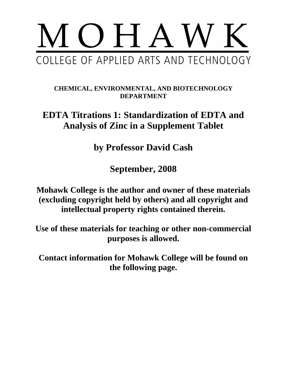

**CHEMICAL, ENVIRONMENTAL, AND BIOTECHNOLOGY DEPARTMENT**

**EDTA Titrations 1: Standardization of EDTA and Analysis of Zinc in a Supplement Tablet**

**by Professor David Cash**

**September, 2008**

**Mohawk College is the author and owner of these materials (excluding copyright held by others) and all copyright and intellectual property rights contained therein.**

**Use of these materials for teaching or other non-commercial purposes is allowed.**

**Contact information for Mohawk College will be found on the following page.**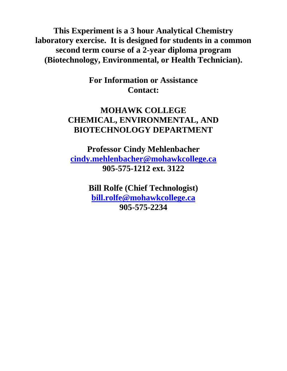**This Experiment is a 3 hour Analytical Chemistry laboratory exercise. It is designed for students in a common second term course of a 2-year diploma program (Biotechnology, Environmental, or Health Technician).**

> **For Information or Assistance Contact:**

# **MOHAWK COLLEGE CHEMICAL, ENVIRONMENTAL, AND BIOTECHNOLOGY DEPARTMENT**

**Professor Cindy Mehlenbacher cindy.mehlenbacher@mohawkcollege.ca 905-575-1212 ext. 3122**

> **Bill Rolfe (Chief Technologist) bill.rolfe@mohawkcollege.ca 905-575-2234**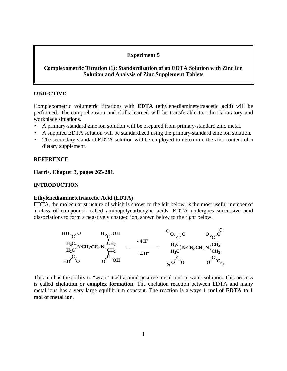#### **Experiment 5**

#### **Complexometric Titration (1): Standardization of an EDTA Solution with Zinc Ion Solution and Analysis of Zinc Supplement Tablets**

#### **OBJECTIVE**

Complexometric volumetric titrations with **EDTA** (**e**thylene**d**iamine**t**etraacetic **a**cid) will be performed. The comprehension and skills learned will be transferable to other laboratory and workplace situations.

- A primary-standard zinc ion solution will be prepared from primary-standard zinc metal.
- A supplied EDTA solution will be standardized using the primary-standard zinc ion solution.
- The secondary standard EDTA solution will be employed to determine the zinc content of a dietary supplement.

#### **REFERENCE**

**Harris, Chapter 3, pages 265-281.**

#### **INTRODUCTION**

#### **Ethylenediaminetetraacetic Acid (EDTA)**

EDTA, the molecular structure of which is shown to the left below, is the most useful member of a class of compounds called aminopolycarboxylic acids. EDTA undergoes successive acid dissociations to form a negatively charged ion, shown below to the right below.



This ion has the ability to "wrap" itself around positive metal ions in water solution. This process is called **chelation** or **complex formation**. The chelation reaction between EDTA and many metal ions has a very large equilibrium constant. The reaction is always **1 mol of EDTA to 1 mol of metal ion**.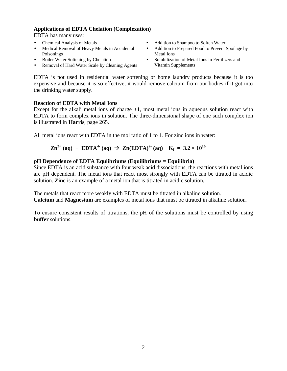# **Applications of EDTA Chelation (Complexation)**

EDTA has many uses:

- Chemical Analysis of Metals
- Medical Removal of Heavy Metals in Accidental Poisonings
- Boiler Water Softening by Chelation
- Removal of Hard Water Scale by Cleaning Agents
- Addition to Shampoo to Soften Water
- Addition to Prepared Food to Prevent Spoilage by Metal Ions
- Solubilization of Metal Ions in Fertilizers and Vitamin Supplements

EDTA is not used in residential water softening or home laundry products because it is too expensive and because it is so effective, it would remove calcium from our bodies if it got into the drinking water supply.

#### **Reaction of EDTA with Metal Ions**

Except for the alkali metal ions of charge  $+1$ , most metal ions in aqueous solution react with EDTA to form complex ions in solution. The three-dimensional shape of one such complex ion is illustrated in **Harris**, page 265.

All metal ions react with EDTA in the mol ratio of 1 to 1. For zinc ions in water:

$$
Zn^{2+} (aq) + EDTA^{4-} (aq) \rightarrow Zn (EDTA)^{2-} (aq) \quad K_f = 3.2 \times 10^{16}
$$

#### **pH Dependence of EDTA Equlibriums (Equilibriums = Equilibria)**

Since EDTA is an acid substance with four weak acid dissociations, the reactions with metal ions are pH dependent. The metal ions that react most strongly with EDTA can be titrated in acidic solution. **Zinc** is an example of a metal ion that is titrated in acidic solution.

The metals that react more weakly with EDTA must be titrated in alkaline solution. **Calcium** and **Magnesium** are examples of metal ions that must be titrated in alkaline solution.

To ensure consistent results of titrations, the pH of the solutions must be controlled by using **buffer** solutions.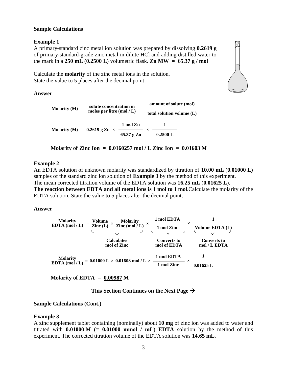#### **Sample Calculations**

#### **Example 1**

A primary-standard zinc metal ion solution was prepared by dissolving **0.2619 g** of primary-standard-grade zinc metal in dilute HCl and adding distilled water to the mark in a 250 mL  $(0.2500 \text{ L})$  volumetric flask. **Zn MW** =  $65.37 \text{ g/mol}$ 

Calculate the **molarity** of the zinc metal ions in the solution. State the value to 5 places after the decimal point.

#### **Answer**

| Molarity $(M)$ =                      | solute concentration in     |            | amount of solute (mol)      |
|---------------------------------------|-----------------------------|------------|-----------------------------|
|                                       | moles per litre $(mod / L)$ |            | total solution volume $(L)$ |
| Molarity (M) = $0.2619$ g Zn $\times$ |                             | 1 mol Zn   |                             |
|                                       |                             | 65.37 g Zn | 0.2500 L                    |



#### **Example 2**

An EDTA solution of unknown molarity was standardized by titration of **10.00 mL** (**0.01000 L**) samples of the standard zinc ion solution of **Example 1** by the method of this experiment. The mean corrected titration volume of the EDTA solution was **16.25 mL** (**0.01625 L**).

**The reaction between EDTA and all metal ions is 1 mol to 1 mol**.Calculate the molarity of the EDTA solution. State the value to 5 places after the decimal point.

#### **Answer**

| <b>Molarity</b>                   | $\times$ Molarity<br>$\times$ Zinc (mol / L)<br>Volume | 1 mol EDTA                        |                                    |
|-----------------------------------|--------------------------------------------------------|-----------------------------------|------------------------------------|
| EDTA (mol / $L$ )                 | $\text{Zinc}$ (L)                                      | 1 mol Zinc                        | Volume EDTA (L)                    |
|                                   | <b>Calculates</b><br>mol of Zinc                       | <b>Converts to</b><br>mol of EDTA | <b>Converts to</b><br>mol / L EDTA |
| <b>Molarity</b><br>EDTA $(mol/L)$ | $= 0.01000$ L $\times$ 0.01603 mol / L $\times$        | 1 mol EDTA<br>1 mol Zinc          | $0.01625$ L                        |

**Molarity of EDTA** = **0.00987 M**

#### This Section Continues on the Next Page  $\rightarrow$

#### **Sample Calculations (Cont.)**

#### **Example 3**

A zinc supplement tablet containing (nominally) about **10 mg** of zinc ion was added to water and titrated with  $0.01000 \text{ M } (= 0.01000 \text{ mmol } / \text{ mL})$  **EDTA** solution by the method of this experiment. The corrected titration volume of the EDTA solution was **14.65 mL**.

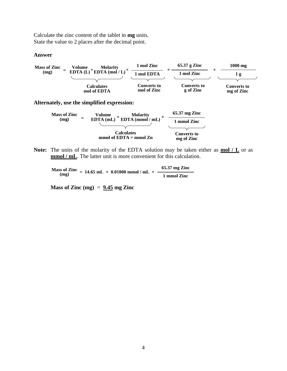Calculate the zinc content of the tablet in **mg** units. State the value to 2 places after the decimal point.

#### **Answer**



**Alternately, use the simplified expression:**

| <b>Mass of Zinc</b> |     | Volume<br>EDTA (mL) $\times$ EDTA (mmol / mL) $\times$ | $65.37$ mg Zinc                  |
|---------------------|-----|--------------------------------------------------------|----------------------------------|
| (mg)                | $=$ |                                                        | 1 mmol Zinc                      |
|                     |     |                                                        |                                  |
|                     |     | <b>Calculates</b><br>mmol of $EDTA = mmol Zn$          | <b>Converts to</b><br>mg of Zinc |

**Note:** The units of the molarity of the EDTA solution may be taken either as **mol / L** or as **mmol** / **mL**. The latter unit is more convenient for this calculation.

**Mass of Zinc (mg) = 14.65 mL × 0.01000 mmol / mL × 65.37 mg Zinc 1 mmol Zinc**

**Mass of Zinc (mg)** = **9.45 mg Zinc**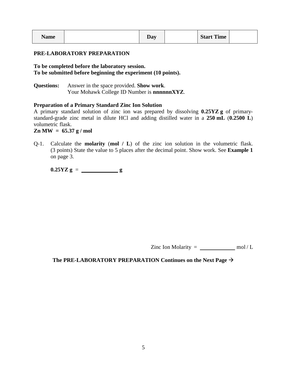| <b>Name</b> |  | Day |  | <b>Start Time</b> |  |
|-------------|--|-----|--|-------------------|--|
|-------------|--|-----|--|-------------------|--|

#### **PRE-LABORATORY PREPARATION**

**To be completed before the laboratory session. To be submitted before beginning the experiment (10 points).**

**Questions:** Answer in the space provided. **Show work**. Your Mohawk College ID Number is **nnnnnXYZ**.

#### **Preparation of a Primary Standard Zinc Ion Solution**

A primary standard solution of zinc ion was prepared by dissolving **0.25YZ g** of primarystandard-grade zinc metal in dilute HCl and adding distilled water in a **250 mL** (**0.2500 L**) volumetric flask.

#### **Zn MW = 65.37 g / mol**

Q-1. Calculate the **molarity** (**mol / L**) of the zinc ion solution in the volumetric flask. (3 points) State the value to 5 places after the decimal point. Show work. See **Example 1** on page 3.

 $0.25YZ$  **g** = <u>g</u>

Zinc Ion Molarity =  $\frac{1}{2}$  mol/L

The PRE-LABORATORY PREPARATION Continues on the Next Page  $\rightarrow$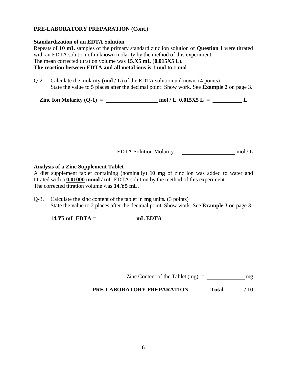### **PRE-LABORATORY PREPARATION (Cont.)**

#### **Standardization of an EDTA Solution**

Repeats of **10 mL** samples of the primary standard zinc ion solution of **Question 1** were titrated with an EDTA solution of unknown molarity by the method of this experiment. The mean corrected titration volume was **15.X5 mL** (**0.015X5 L**). **The reaction between EDTA and all metal ions is 1 mol to 1 mol**.

Q-2. Calculate the molarity (**mol / L**) of the EDTA solution unknown. (4 points) State the value to 5 places after the decimal point. Show work. See **Example 2** on page 3.

| <b>Zinc Ion Molarity (Q-1)</b> = | mol/L $0.015X5L =$ |
|----------------------------------|--------------------|
|----------------------------------|--------------------|

EDTA Solution Molarity =  $\frac{1}{2}$  mol/L

#### **Analysis of a Zinc Supplement Tablet**

A diet supplement tablet containing (nominally) **10 mg** of zinc ion was added to water and titrated with a **0.01000 mmol / mL** EDTA solution by the method of this experiment. The corrected titration volume was **14.Y5 mL**.

Q-3. Calculate the zinc content of the tablet in **mg** units. (3 points) State the value to 2 places after the decimal point. Show work. See **Example 3** on page 3.

**14.Y5 mL EDTA** = **mL EDTA**

Zinc Content of the Tablet (mg) = mg

# **PRE-LABORATORY PREPARATION Total = / 10**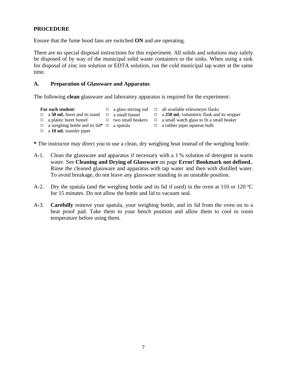### **PROCEDURE**

Ensure that the fume hood fans are switched **ON** and are operating.

There are no special disposal instructions for this experiment. All solids and solutions may safely be disposed of by way of the municipal solid waste containers or the sinks. When using a sink for disposal of zinc ion solution or EDTA solution, run the cold municipal tap water at the same time.

#### **A. Preparation of Glassware and Apparatus**

The following **clean** glassware and laboratory apparatus is required for the experiment:

| For each student:                                      |                          | $\Box$ a glass stirring rod $\Box$ all available erlenmeyer flasks |
|--------------------------------------------------------|--------------------------|--------------------------------------------------------------------|
| $\Box$ a 50 mL buret and its stand                     | $\Box$ a small funnel    | $\Box$ a 250 mL volumetric flask and its stopper                   |
| $\Box$ a plastic buret funnel                          | $\Box$ two small beakers | $\Box$ a small watch glass to fit a small beaker                   |
| $\Box$ a weighing bottle and its lid* $\Box$ a spatula |                          | $\Box$ a rubber pipet squeeze bulb                                 |
| $\Box$ a 10 mL transfer pipet                          |                          |                                                                    |

**\*** The instructor may direct you to use a clean, dry weighing boat instead of the weighing bottle.

- A-1. Clean the glassware and apparatus if necessary with a 1 % solution of detergent in warm water. See **Cleaning and Drying of Glassware** on page **Error! Bookmark not defined.**. Rinse the cleaned glassware and apparatus with tap water and then with distilled water. To avoid breakage, do not leave any glassware standing in an unstable position.
- A-2. Dry the spatula (and the weighing bottle and its lid if used) in the oven at 110 or 120  $^{\circ}$ C for 15 minutes. Do not allow the bottle and lid to vacuum seal.
- A-3. **Carefully** remove your spatula, your weighing bottle, and its lid from the oven on to a heat proof pad. Take them to your bench position and allow them to cool to room temperature before using them.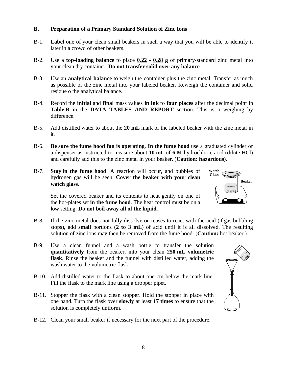#### **B. Preparation of a Primary Standard Solution of Zinc Ions**

- B-1. **Label** one of your clean small beakers in such a way that you will be able to identify it later in a crowd of other beakers.
- B-2. Use a **top-loading balance** to place **0.22 - 0.28 g** of primary-standard zinc metal into your clean dry container. **Do not transfer solid over any balance**.
- B-3. Use an **analytical balance** to weigh the container plus the zinc metal. Transfer as much as possible of the zinc metal into your labeled beaker. Reweigh the container and solid residue o the analytical balance.
- B-4. Record the **initial** and **final** mass values **in ink** to **four places** after the decimal point in **Table B** in the **DATA TABLES AND REPORT** section. This is a weighing by difference.
- B-5. Add distilled water to about the **20 mL** mark of the labeled beaker with the zinc metal in it.
- B-6. **Be sure the fume hood fan is operating**. **In the fume hood** use a graduated cylinder or a dispenser as instructed to measure about **10 mL** of **6 M** hydrochloric acid (dilute HCl) and carefully add this to the zinc metal in your beaker. (**Caution: hazardous**).
- B-7. **Stay in the fume hood**. A reaction will occur, and bubbles of hydrogen gas will be seen. **Cover the beaker with your clean watch glass**.

Set the covered beaker and its contents to heat gently on one of the hot-plates set **in the fume hood**. The heat control must be on a **low** setting. **Do not boil away all of the liquid**.

- B-8. If the zinc metal does not fully dissolve or ceases to react with the acid (if gas bubbling stops), add **small** portions (**2 to 3 mL**) of acid until it is all dissolved. The resulting solution of zinc ions may then be removed from the fume hood. (**Caution:** hot beaker.)
- B-9. Use a clean funnel and a wash bottle to transfer the solution **quantitatively** from the beaker, into your clean **250 mL volumetric flask**. Rinse the beaker and the funnel with distilled water, adding the wash water to the volumetric flask.
- B-10. Add distilled water to the flask to about one cm below the mark line. Fill the flask to the mark line using a dropper pipet.
- B-11. Stopper the flask with a clean stopper. Hold the stopper in place with one hand. Turn the flask over **slowly** at least **17 times** to ensure that the solution is completely uniform.
- B-12. Clean your small beaker if necessary for the next part of the procedure.

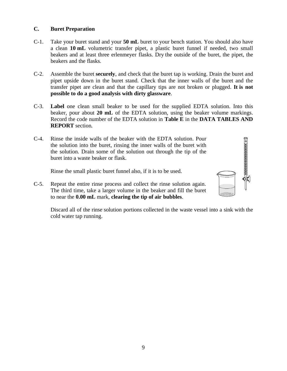### **C. Buret Preparation**

- C-1. Take your buret stand and your **50 mL** buret to your bench station. You should also have a clean **10 mL** volumetric transfer pipet, a plastic buret funnel if needed, two small beakers and at least three erlenmeyer flasks. Dry the outside of the buret, the pipet, the beakers and the flasks.
- C-2. Assemble the buret **securely**, and check that the buret tap is working. Drain the buret and pipet upside down in the buret stand. Check that the inner walls of the buret and the transfer pipet are clean and that the capillary tips are not broken or plugged. **It is not possible to do a good analysis with dirty glassware**.
- C-3. **Label** one clean small beaker to be used for the supplied EDTA solution. Into this beaker, pour about **20 mL** of the EDTA solution, using the beaker volume markings. Record the code number of the EDTA solution in **Table E** in the **DATA TABLES AND REPORT** section.
- C-4. Rinse the inside walls of the beaker with the EDTA solution. Pour the solution into the buret, rinsing the inner walls of the buret with the solution. Drain some of the solution out through the tip of the buret into a waste beaker or flask.

Rinse the small plastic buret funnel also, if it is to be used.

C-5. Repeat the entire rinse process and collect the rinse solution again. The third time, take a larger volume in the beaker and fill the buret to near the **0.00 mL** mark, **clearing the tip of air bubbles**.

Discard all of the rinse solution portions collected in the waste vessel into a sink with the cold water tap running.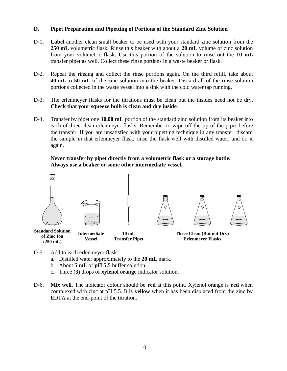#### **D. Pipet Preparation and Pipetting of Portions of the Standard Zinc Solution**

- D-1. **Label** another clean small beaker to be used with your standard zinc solution from the **250 mL** volumetric flask. Rinse this beaker with about a **20 mL** volume of zinc solution from your volumetric flask. Use this portion of the solution to rinse out the **10 mL** transfer pipet as well. Collect these rinse portions in a waste beaker or flask.
- D-2. Repeat the rinsing and collect the rinse portions again. On the third refill, take about **40 mL** to **50 mL** of the zinc solution into the beaker. Discard all of the rinse solution portions collected in the waste vessel into a sink with the cold water tap running.
- D-3. The erlenmeyer flasks for the titrations must be clean but the insides need not be dry. **Check that your squeeze bulb is clean and dry inside**.
- D-4. Transfer by pipet one **10.00 mL** portion of the standard zinc solution from its beaker into each of three clean erlenmeyer flasks. Remember to wipe off the tip of the pipet before the transfer. If you are unsatisfied with your pipetting technique in any transfer, discard the sample in that erlenmeyer flask, rinse the flask well with distilled water, and do it again.

**Never transfer by pipet directly from a volumetric flask or a storage bottle. Always use a beaker or some other intermediate vessel.**



- D-5. Add to each erlenmeyer flask:
	- a. Distilled water approximately to the **20 mL** mark.
	- b. About **5 mL** of **pH 5.5** buffer solution.
	- c. Three (**3**) drops of **xylenol orange** indicator solution.
- D-6. **Mix well**. The indicator colour should be **red** at this point. Xylenol orange is **red** when complexed with zinc at pH 5.5. It is **yellow** when it has been displaced from the zinc by EDTA at the end-point of the titration.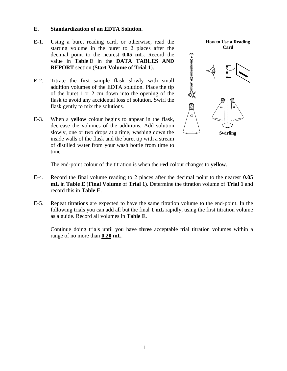#### **E. Standardization of an EDTA Solution.**

- E-1. Using a buret reading card, or otherwise, read the starting volume in the buret to 2 places after the decimal point to the nearest **0.05 mL**. Record the value in **Table E** in the **DATA TABLES AND REPORT** section (**Start Volume** of **Trial 1**).
- E-2. Titrate the first sample flask slowly with small addition volumes of the EDTA solution. Place the tip of the buret 1 or 2 cm down into the opening of the flask to avoid any accidental loss of solution. Swirl the flask gently to mix the solutions.
- E-3. When a **yellow** colour begins to appear in the flask, decrease the volumes of the additions. Add solution slowly, one or two drops at a time, washing down the inside walls of the flask and the buret tip with a stream of distilled water from your wash bottle from time to time.



The end-point colour of the titration is when the **red** colour changes to **yellow**.

- E-4. Record the final volume reading to 2 places after the decimal point to the nearest **0.05 mL** in **Table E** (**Final Volume** of **Trial 1**). Determine the titration volume of **Trial 1** and record this in **Table E**.
- E-5. Repeat titrations are expected to have the same titration volume to the end-point. In the following trials you can add all but the final **1 mL** rapidly, using the first titration volume as a guide. Record all volumes in **Table E**.

Continue doing trials until you have **three** acceptable trial titration volumes within a range of no more than **0.20 mL**.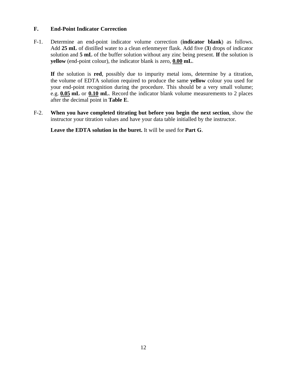#### **F. End-Point Indicator Correction**

F-1. Determine an end-point indicator volume correction (**indicator blank**) as follows. Add **25 mL** of distilled water to a clean erlenmeyer flask. Add five (**3**) drops of indicator solution and **5 mL** of the buffer solution without any zinc being present. **If** the solution is **yellow** (end-point colour), the indicator blank is zero, **0.00 mL**.

**If** the solution is **red**, possibly due to impurity metal ions, determine by a titration, the volume of EDTA solution required to produce the same **yellow** colour you used for your end-point recognition during the procedure. This should be a very small volume; e.g. **0.05 mL** or **0.10 mL**. Record the indicator blank volume measurements to 2 places after the decimal point in **Table E**.

F-2. **When you have completed titrating but before you begin the next section**, show the instructor your titration values and have your data table initialled by the instructor.

**Leave the EDTA solution in the buret.** It will be used for **Part G**.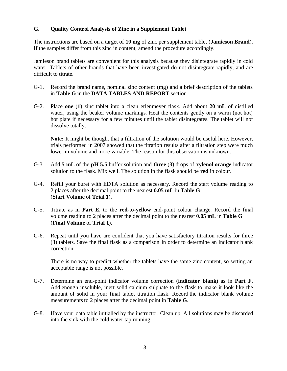### **G. Quality Control Analysis of Zinc in a Supplement Tablet**

The instructions are based on a target of **10 mg** of zinc per supplement tablet (**Jamieson Brand**). If the samples differ from this zinc in content, amend the procedure accordingly.

Jamieson brand tablets are convenient for this analysis because they disintegrate rapidly in cold water. Tablets of other brands that have been investigated do not disintegrate rapidly, and are difficult to titrate.

- G-1. Record the brand name, nominal zinc content (mg) and a brief description of the tablets in **Table G** in the **DATA TABLES AND REPORT** section.
- G-2. Place **one** (**1**) zinc tablet into a clean erlenmeyer flask. Add about **20 mL** of distilled water, using the beaker volume markings. Heat the contents gently on a warm (not hot) hot plate if necessary for a few minutes until the tablet disintegrates. The tablet will not dissolve totally.

**Note:** It might be thought that a filtration of the solution would be useful here. However, trials performed in 2007 showed that the titration results after a filtration step were much lower in volume and more variable. The reason for this observation is unknown.

- G-3. Add **5 mL** of the **pH 5.5** buffer solution and **three** (**3**) drops of **xylenol orange** indicator solution to the flask. Mix well. The solution in the flask should be **red** in colour.
- G-4. Refill your buret with EDTA solution as necessary. Record the start volume reading to 2 places after the decimal point to the nearest **0.05 mL** in **Table G** (**Start Volume** of **Trial 1**).
- G-5. Titrate as in **Part E**, to the **red**-to-**yellow** end-point colour change. Record the final volume reading to 2 places after the decimal point to the nearest **0.05 mL** in **Table G** (**Final Volume** of **Trial 1**).
- G-6. Repeat until you have are confident that you have satisfactory titration results for three (**3**) tablets. Save the final flask as a comparison in order to determine an indicator blank correction.

There is no way to predict whether the tablets have the same zinc content, so setting an acceptable range is not possible.

- G-7. Determine an end-point indicator volume correction (**indicator blank**) as in **Part F**. Add enough insoluble, inert solid calcium sulphate to the flask to make it look like the amount of solid in your final tablet titration flask. Record the indicator blank volume measurements to 2 places after the decimal point in **Table G**.
- G-8. Have your data table initialled by the instructor. Clean up. All solutions may be discarded into the sink with the cold water tap running.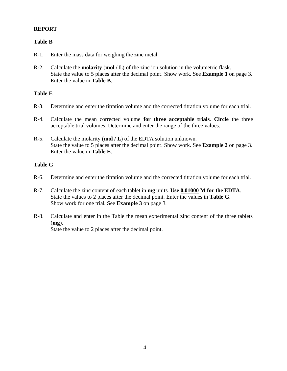# **REPORT**

# **Table B**

- R-1. Enter the mass data for weighing the zinc metal.
- R-2. Calculate the **molarity** (**mol / L**) of the zinc ion solution in the volumetric flask. State the value to 5 places after the decimal point. Show work. See **Example 1** on page 3. Enter the value in **Table B**.

### **Table E**

- R-3. Determine and enter the titration volume and the corrected titration volume for each trial.
- R-4. Calculate the mean corrected volume **for three acceptable trials**. **Circle** the three acceptable trial volumes. Determine and enter the range of the three values.
- R-5. Calculate the molarity (**mol / L**) of the EDTA solution unknown. State the value to 5 places after the decimal point. Show work. See **Example 2** on page 3. Enter the value in **Table E**.

# **Table G**

- R-6. Determine and enter the titration volume and the corrected titration volume for each trial.
- R-7. Calculate the zinc content of each tablet in **mg** units. **Use 0.01000 M for the EDTA**. State the values to 2 places after the decimal point. Enter the values in **Table G**. Show work for one trial. See **Example 3** on page 3.
- R-8. Calculate and enter in the Table the mean experimental zinc content of the three tablets (**mg**). State the value to 2 places after the decimal point.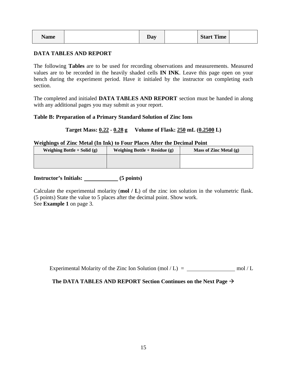| <b>Name</b> |  | Day |  | <b>Start Time</b> |  |
|-------------|--|-----|--|-------------------|--|
|-------------|--|-----|--|-------------------|--|

#### **DATA TABLES AND REPORT**

The following **Tables** are to be used for recording observations and measurements. Measured values are to be recorded in the heavily shaded cells **IN INK**. Leave this page open on your bench during the experiment period. Have it initialed by the instructor on completing each section.

The completed and initialed **DATA TABLES AND REPORT** section must be handed in along with any additional pages you may submit as your report.

#### **Table B: Preparation of a Primary Standard Solution of Zinc Ions**

#### **Target Mass: 0.22 - 0.28 g Volume of Flask: 250 mL (0.2500 L)**

#### **Weighings of Zinc Metal (In Ink) to Four Places After the Decimal Point**

| Weighing Bottle + Solid $(g)$ | Weighing Bottle + Residue $(g)$ | Mass of Zinc Metal $(g)$ |
|-------------------------------|---------------------------------|--------------------------|
|                               |                                 |                          |
|                               |                                 |                          |

# **Instructor's Initials: (5 points)**

Calculate the experimental molarity (**mol / L**) of the zinc ion solution in the volumetric flask. (5 points) State the value to 5 places after the decimal point. Show work. See **Example 1** on page 3.

Experimental Molarity of the Zinc Ion Solution (mol / L) = mol / L

The DATA TABLES AND REPORT Section Continues on the Next Page →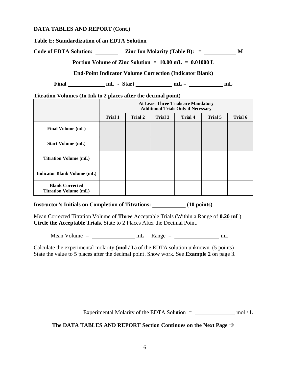#### **DATA TABLES AND REPORT (Cont.)**

**Table E: Standardization of an EDTA Solution**

Code of EDTA Solution: <u>Zinc Ion Molarity</u> (Table B): = \_\_\_\_\_\_\_\_\_\_ M

**Portion Volume of Zinc Solution = 10.00 mL = 0.01000 L**

**End-Point Indicator Volume Correction (Indicator Blank)**

**Final mL - Start mL = mL**

**Titration Volumes (In Ink to 2 places after the decimal point)**

|                                                        | <b>At Least Three Trials are Mandatory</b><br><b>Additional Trials Only if Necessary</b> |                |         |                |         |         |  |  |
|--------------------------------------------------------|------------------------------------------------------------------------------------------|----------------|---------|----------------|---------|---------|--|--|
|                                                        | <b>Trial 1</b>                                                                           | <b>Trial 2</b> | Trial 3 | <b>Trial 4</b> | Trial 5 | Trial 6 |  |  |
| <b>Final Volume (mL)</b>                               |                                                                                          |                |         |                |         |         |  |  |
| <b>Start Volume (mL)</b>                               |                                                                                          |                |         |                |         |         |  |  |
| <b>Titration Volume (mL)</b>                           |                                                                                          |                |         |                |         |         |  |  |
| <b>Indicator Blank Volume (mL)</b>                     |                                                                                          |                |         |                |         |         |  |  |
| <b>Blank Corrected</b><br><b>Titration Volume (mL)</b> |                                                                                          |                |         |                |         |         |  |  |

**Instructor's Initials on Completion of Titrations: (10 points)**

Mean Corrected Titration Volume of **Three** Acceptable Trials (Within a Range of **0.20 mL**) **Circle the Acceptable Trials**. State to 2 Places After the Decimal Point.

 $Mean Volume = \_$  mL  $Range = \_$  mL

Calculate the experimental molarity (**mol / L**) of the EDTA solution unknown. (5 points) State the value to 5 places after the decimal point. Show work. See **Example 2** on page 3.

Experimental Molarity of the EDTA Solution = mol / L

The DATA TABLES AND REPORT Section Continues on the Next Page →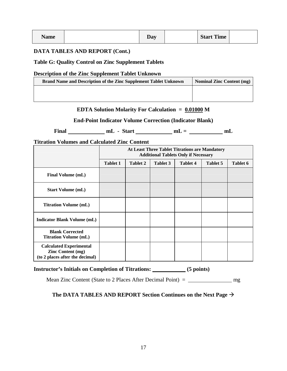| <b>Name</b> |  | $\mathbf{v}$ |  | <b>Start Time</b> |  |
|-------------|--|--------------|--|-------------------|--|
|-------------|--|--------------|--|-------------------|--|

#### **DATA TABLES AND REPORT (Cont.)**

**Table G: Quality Control on Zinc Supplement Tablets**

#### **Description of the Zinc Supplement Tablet Unknown**

| Brand Name and Description of the Zinc Supplement Tablet Unknown | <b>Nominal Zinc Content (mg)</b> |
|------------------------------------------------------------------|----------------------------------|
|                                                                  |                                  |
|                                                                  |                                  |

#### **EDTA Solution Molarity For Calculation = 0.01000 M**

#### **End-Point Indicator Volume Correction (Indicator Blank)**

**Final mL - Start mL = mL**

**Titration Volumes and Calculated Zinc Content**

|                                                                                               | <b>At Least Three Tablet Titrations are Mandatory</b><br><b>Additional Tablets Only if Necessary</b> |                                                                        |  |  |  |  |  |  |  |  |
|-----------------------------------------------------------------------------------------------|------------------------------------------------------------------------------------------------------|------------------------------------------------------------------------|--|--|--|--|--|--|--|--|
|                                                                                               | <b>Tablet 1</b>                                                                                      | Tablet 3<br><b>Tablet 4</b><br>Tablet 5<br>Tablet 6<br><b>Tablet 2</b> |  |  |  |  |  |  |  |  |
| <b>Final Volume (mL)</b>                                                                      |                                                                                                      |                                                                        |  |  |  |  |  |  |  |  |
| <b>Start Volume (mL)</b>                                                                      |                                                                                                      |                                                                        |  |  |  |  |  |  |  |  |
| <b>Titration Volume (mL)</b>                                                                  |                                                                                                      |                                                                        |  |  |  |  |  |  |  |  |
| <b>Indicator Blank Volume (mL)</b>                                                            |                                                                                                      |                                                                        |  |  |  |  |  |  |  |  |
| <b>Blank Corrected</b><br><b>Titration Volume (mL)</b>                                        |                                                                                                      |                                                                        |  |  |  |  |  |  |  |  |
| <b>Calculated Experimental</b><br><b>Zinc Content (mg)</b><br>(to 2 places after the decimal) |                                                                                                      |                                                                        |  |  |  |  |  |  |  |  |

# **Instructor's Initials on Completion of Titrations:** (5 points)

Mean Zinc Content (State to 2 Places After Decimal Point) = mg

# **The DATA TABLES AND REPORT Section Continues on the Next Page**  $\rightarrow$